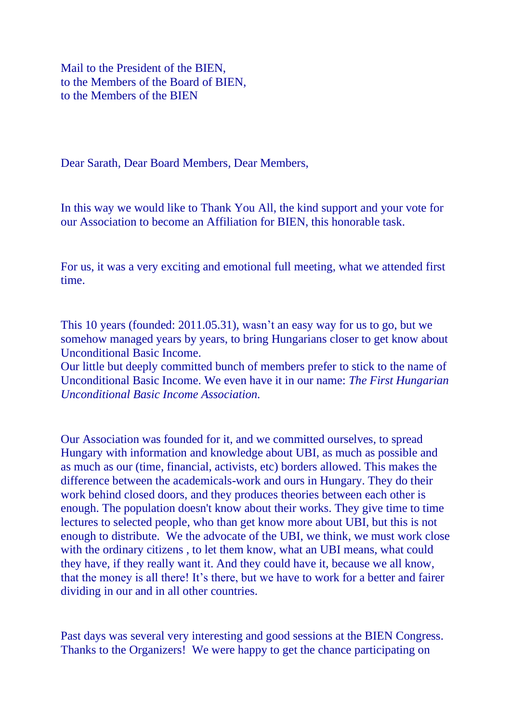Mail to the President of the BIEN, to the Members of the Board of BIEN, to the Members of the BIEN

Dear Sarath, Dear Board Members, Dear Members,

In this way we would like to Thank You All, the kind support and your vote for our Association to become an Affiliation for BIEN, this honorable task.

For us, it was a very exciting and emotional full meeting, what we attended first time.

This 10 years (founded: 2011.05.31), wasn't an easy way for us to go, but we somehow managed years by years, to bring Hungarians closer to get know about Unconditional Basic Income.

Our little but deeply committed bunch of members prefer to stick to the name of Unconditional Basic Income. We even have it in our name: *The First Hungarian Unconditional Basic Income Association.*

Our Association was founded for it, and we committed ourselves, to spread Hungary with information and knowledge about UBI, as much as possible and as much as our (time, financial, activists, etc) borders allowed. This makes the difference between the academicals-work and ours in Hungary. They do their work behind closed doors, and they produces theories between each other is enough. The population doesn't know about their works. They give time to time lectures to selected people, who than get know more about UBI, but this is not enough to distribute. We the advocate of the UBI, we think, we must work close with the ordinary citizens, to let them know, what an UBI means, what could they have, if they really want it. And they could have it, because we all know, that the money is all there! It's there, but we have to work for a better and fairer dividing in our and in all other countries.

Past days was several very interesting and good sessions at the BIEN Congress. Thanks to the Organizers! We were happy to get the chance participating on